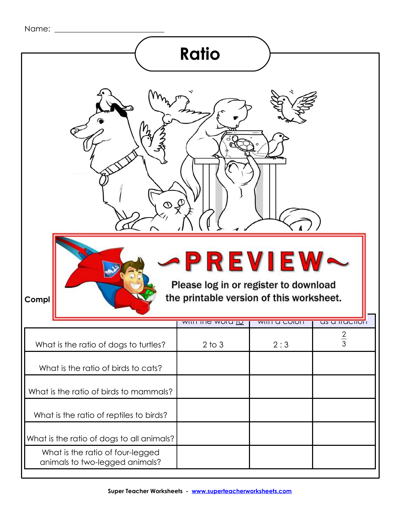